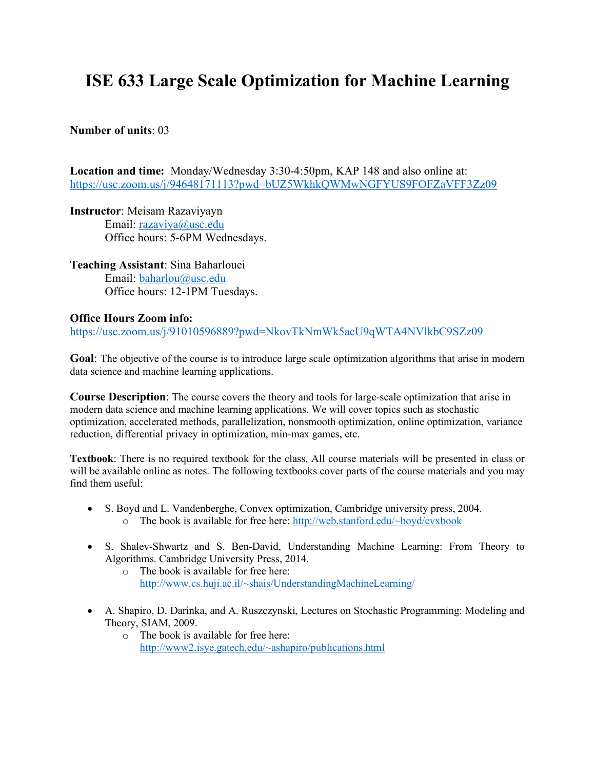# **ISE 633 Large Scale Optimization for Machine Learning**

### **Number of units**: 03

**Location and time:** Monday/Wednesday 3:30-4:50pm, KAP 148 and also online at: https://usc.zoom.us/j/94648171113?pwd=bUZ5WkhkQWMwNGFYUS9FOFZaVFF3Zz09

**Instructor**: Meisam Razaviyayn Email: razaviya@usc.edu Office hours: 5-6PM Wednesdays.

**Teaching Assistant**: Sina Baharlouei Email: baharlou@usc.edu Office hours: 12-1PM Tuesdays.

## **Office Hours Zoom info:**

https://usc.zoom.us/j/91010596889?pwd=NkovTkNmWk5acU9qWTA4NVlkbC9SZz09

**Goal**: The objective of the course is to introduce large scale optimization algorithms that arise in modern data science and machine learning applications.

**Course Description**: The course covers the theory and tools for large-scale optimization that arise in modern data science and machine learning applications. We will cover topics such as stochastic optimization, accelerated methods, parallelization, nonsmooth optimization, online optimization, variance reduction, differential privacy in optimization, min-max games, etc.

**Textbook**: There is no required textbook for the class. All course materials will be presented in class or will be available online as notes. The following textbooks cover parts of the course materials and you may find them useful:

- S. Boyd and L. Vandenberghe, Convex optimization, Cambridge university press, 2004. o The book is available for free here: http://web.stanford.edu/~boyd/cvxbook
- S. Shalev-Shwartz and S. Ben-David, Understanding Machine Learning: From Theory to Algorithms. Cambridge University Press, 2014.
	- o The book is available for free here: http://www.cs.huji.ac.il/~shais/UnderstandingMachineLearning/
- A. Shapiro, D. Darinka, and A. Ruszczynski, Lectures on Stochastic Programming: Modeling and Theory, SIAM, 2009.
	- o The book is available for free here: http://www2.isye.gatech.edu/~ashapiro/publications.html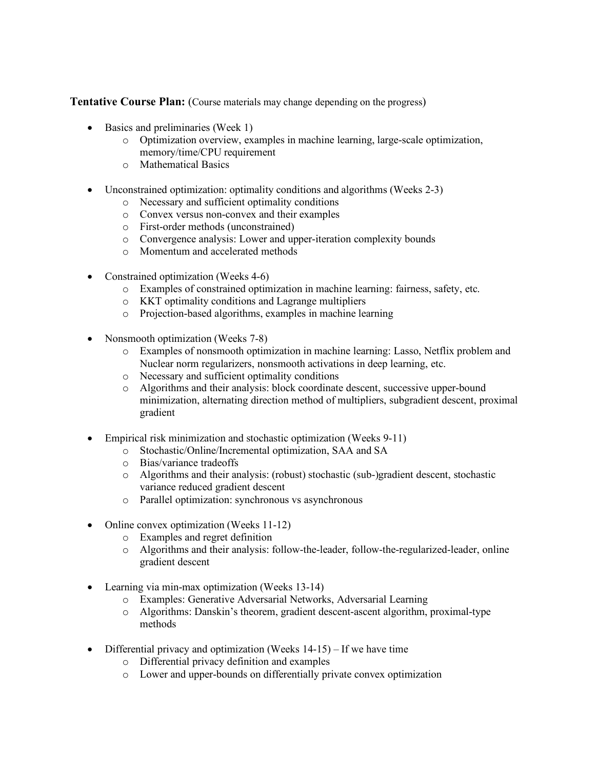**Tentative Course Plan:** (Course materials may change depending on the progress)

- Basics and preliminaries (Week 1)
	- o Optimization overview, examples in machine learning, large-scale optimization, memory/time/CPU requirement
	- o Mathematical Basics
- Unconstrained optimization: optimality conditions and algorithms (Weeks 2-3)
	- o Necessary and sufficient optimality conditions
	- o Convex versus non-convex and their examples
	- o First-order methods (unconstrained)
	- o Convergence analysis: Lower and upper-iteration complexity bounds
	- o Momentum and accelerated methods
- Constrained optimization (Weeks 4-6)
	- o Examples of constrained optimization in machine learning: fairness, safety, etc.
	- o KKT optimality conditions and Lagrange multipliers
	- o Projection-based algorithms, examples in machine learning
- Nonsmooth optimization (Weeks 7-8)
	- o Examples of nonsmooth optimization in machine learning: Lasso, Netflix problem and Nuclear norm regularizers, nonsmooth activations in deep learning, etc.
	- o Necessary and sufficient optimality conditions
	- o Algorithms and their analysis: block coordinate descent, successive upper-bound minimization, alternating direction method of multipliers, subgradient descent, proximal gradient
- Empirical risk minimization and stochastic optimization (Weeks 9-11)
	- o Stochastic/Online/Incremental optimization, SAA and SA
	- o Bias/variance tradeoffs
	- o Algorithms and their analysis: (robust) stochastic (sub-)gradient descent, stochastic variance reduced gradient descent
	- o Parallel optimization: synchronous vs asynchronous
- Online convex optimization (Weeks 11-12)
	- o Examples and regret definition
	- o Algorithms and their analysis: follow-the-leader, follow-the-regularized-leader, online gradient descent
- Learning via min-max optimization (Weeks 13-14)
	- o Examples: Generative Adversarial Networks, Adversarial Learning
	- o Algorithms: Danskin's theorem, gradient descent-ascent algorithm, proximal-type methods
- Differential privacy and optimization (Weeks  $14-15$ ) If we have time
	- o Differential privacy definition and examples
	- o Lower and upper-bounds on differentially private convex optimization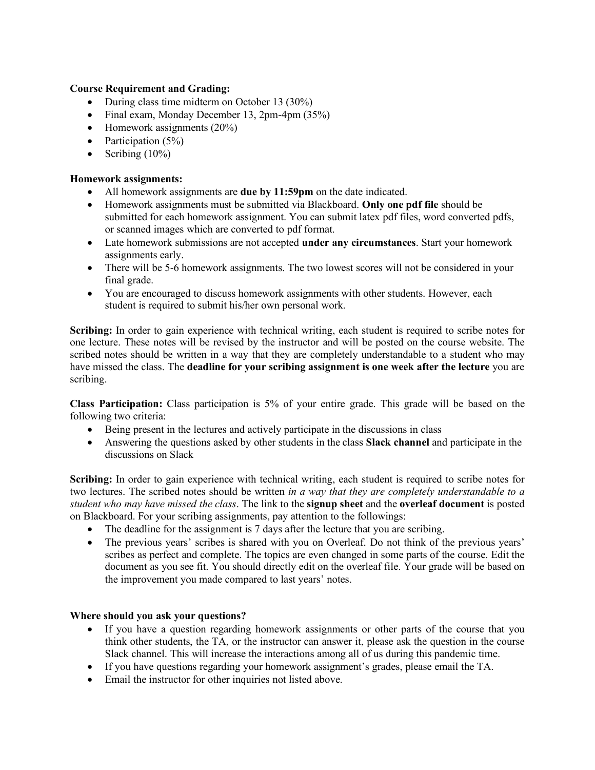#### **Course Requirement and Grading:**

- During class time midterm on October 13 (30%)
- Final exam, Monday December 13, 2pm-4pm (35%)
- Homework assignments (20%)
- Participation  $(5\%)$
- Scribing  $(10\%)$

#### **Homework assignments:**

- All homework assignments are **due by 11:59pm** on the date indicated.
- Homework assignments must be submitted via Blackboard. **Only one pdf file** should be submitted for each homework assignment. You can submit latex pdf files, word converted pdfs, or scanned images which are converted to pdf format.
- Late homework submissions are not accepted **under any circumstances**. Start your homework assignments early.
- There will be 5-6 homework assignments. The two lowest scores will not be considered in your final grade.
- You are encouraged to discuss homework assignments with other students. However, each student is required to submit his/her own personal work.

**Scribing:** In order to gain experience with technical writing, each student is required to scribe notes for one lecture. These notes will be revised by the instructor and will be posted on the course website. The scribed notes should be written in a way that they are completely understandable to a student who may have missed the class. The **deadline for your scribing assignment is one week after the lecture** you are scribing.

**Class Participation:** Class participation is 5% of your entire grade. This grade will be based on the following two criteria:

- Being present in the lectures and actively participate in the discussions in class
- Answering the questions asked by other students in the class **Slack channel** and participate in the discussions on Slack

**Scribing:** In order to gain experience with technical writing, each student is required to scribe notes for two lectures. The scribed notes should be written *in a way that they are completely understandable to a student who may have missed the class*. The link to the **signup sheet** and the **overleaf document** is posted on Blackboard. For your scribing assignments, pay attention to the followings:

- The deadline for the assignment is 7 days after the lecture that you are scribing.
- The previous years' scribes is shared with you on Overleaf. Do not think of the previous years' scribes as perfect and complete. The topics are even changed in some parts of the course. Edit the document as you see fit. You should directly edit on the overleaf file. Your grade will be based on the improvement you made compared to last years' notes.

#### **Where should you ask your questions?**

- If you have a question regarding homework assignments or other parts of the course that you think other students, the TA, or the instructor can answer it, please ask the question in the course Slack channel. This will increase the interactions among all of us during this pandemic time.
- If you have questions regarding your homework assignment's grades, please email the TA.
- Email the instructor for other inquiries not listed above.